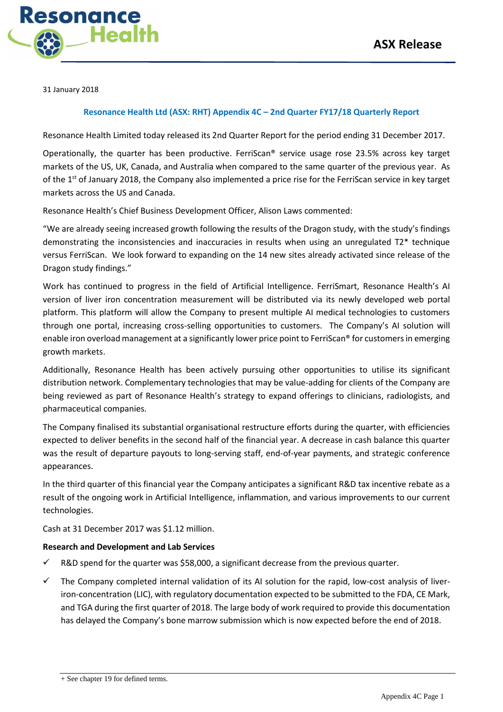

31 January 2018

#### **Resonance Health Ltd (ASX: RHT) Appendix 4C – 2nd Quarter FY17/18 Quarterly Report**

Resonance Health Limited today released its 2nd Quarter Report for the period ending 31 December 2017.

Operationally, the quarter has been productive. FerriScan® service usage rose 23.5% across key target markets of the US, UK, Canada, and Australia when compared to the same quarter of the previous year. As of the 1<sup>st</sup> of January 2018, the Company also implemented a price rise for the FerriScan service in key target markets across the US and Canada.

Resonance Health's Chief Business Development Officer, Alison Laws commented:

"We are already seeing increased growth following the results of the Dragon study, with the study's findings demonstrating the inconsistencies and inaccuracies in results when using an unregulated T2\* technique versus FerriScan. We look forward to expanding on the 14 new sites already activated since release of the Dragon study findings."

Work has continued to progress in the field of Artificial Intelligence. FerriSmart, Resonance Health's AI version of liver iron concentration measurement will be distributed via its newly developed web portal platform. This platform will allow the Company to present multiple AI medical technologies to customers through one portal, increasing cross-selling opportunities to customers. The Company's AI solution will enable iron overload management at a significantly lower price point to FerriScan® for customers in emerging growth markets.

Additionally, Resonance Health has been actively pursuing other opportunities to utilise its significant distribution network. Complementary technologies that may be value-adding for clients of the Company are being reviewed as part of Resonance Health's strategy to expand offerings to clinicians, radiologists, and pharmaceutical companies.

The Company finalised its substantial organisational restructure efforts during the quarter, with efficiencies expected to deliver benefits in the second half of the financial year. A decrease in cash balance this quarter was the result of departure payouts to long-serving staff, end-of-year payments, and strategic conference appearances.

In the third quarter of this financial year the Company anticipates a significant R&D tax incentive rebate as a result of the ongoing work in Artificial Intelligence, inflammation, and various improvements to our current technologies.

Cash at 31 December 2017 was \$1.12 million.

#### **Research and Development and Lab Services**

- R&D spend for the quarter was \$58,000, a significant decrease from the previous quarter.
- $\checkmark$  The Company completed internal validation of its AI solution for the rapid, low-cost analysis of liveriron-concentration (LIC), with regulatory documentation expected to be submitted to the FDA, CE Mark, and TGA during the first quarter of 2018. The large body of work required to provide this documentation has delayed the Company's bone marrow submission which is now expected before the end of 2018.

<sup>+</sup> See chapter 19 for defined terms.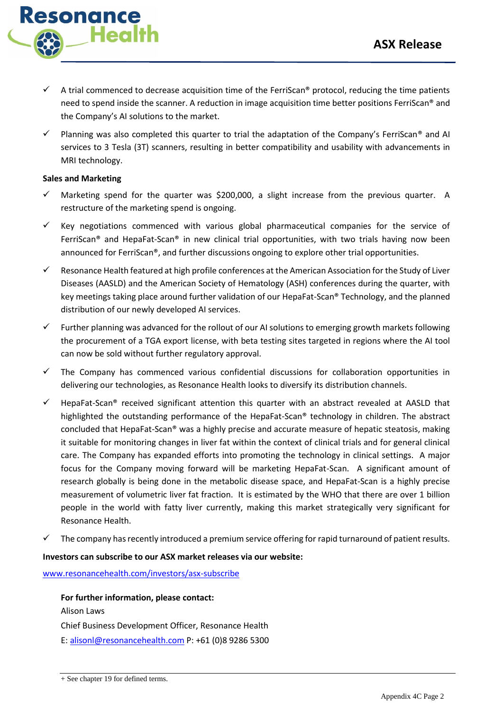

- A trial commenced to decrease acquisition time of the FerriScan® protocol, reducing the time patients need to spend inside the scanner. A reduction in image acquisition time better positions FerriScan® and the Company's AI solutions to the market.
- Planning was also completed this quarter to trial the adaptation of the Company's FerriScan® and AI services to 3 Tesla (3T) scanners, resulting in better compatibility and usability with advancements in MRI technology.

### **Sales and Marketing**

- Marketing spend for the quarter was \$200,000, a slight increase from the previous quarter. A restructure of the marketing spend is ongoing.
- $\checkmark$  Key negotiations commenced with various global pharmaceutical companies for the service of FerriScan® and HepaFat-Scan® in new clinical trial opportunities, with two trials having now been announced for FerriScan®, and further discussions ongoing to explore other trial opportunities.
- $\checkmark$  Resonance Health featured at high profile conferences at the American Association for the Study of Liver Diseases (AASLD) and the American Society of Hematology (ASH) conferences during the quarter, with key meetings taking place around further validation of our HepaFat-Scan® Technology, and the planned distribution of our newly developed AI services.
- $\checkmark$  Further planning was advanced for the rollout of our AI solutions to emerging growth markets following the procurement of a TGA export license, with beta testing sites targeted in regions where the AI tool can now be sold without further regulatory approval.
- $\checkmark$  The Company has commenced various confidential discussions for collaboration opportunities in delivering our technologies, as Resonance Health looks to diversify its distribution channels.
- $\checkmark$  HepaFat-Scan® received significant attention this quarter with an abstract revealed at AASLD that highlighted the outstanding performance of the HepaFat-Scan® technology in children. The abstract concluded that HepaFat-Scan® was a highly precise and accurate measure of hepatic steatosis, making it suitable for monitoring changes in liver fat within the context of clinical trials and for general clinical care. The Company has expanded efforts into promoting the technology in clinical settings. A major focus for the Company moving forward will be marketing HepaFat-Scan. A significant amount of research globally is being done in the metabolic disease space, and HepaFat-Scan is a highly precise measurement of volumetric liver fat fraction. It is estimated by the WHO that there are over 1 billion people in the world with fatty liver currently, making this market strategically very significant for Resonance Health.
- The company has recently introduced a premium service offering for rapid turnaround of patient results.

### **Investors can subscribe to our ASX market releases via our website:**

[www.resonancehealth.com/investors/asx-subscribe](http://www.resonancehealth.com/investors/asx-subscribe)

**For further information, please contact:** Alison Laws Chief Business Development Officer, Resonance Health E: [alisonl@resonancehealth.com](mailto:alisonl@resonancehealth.com) P: +61 (0)8 9286 5300

+ See chapter 19 for defined terms.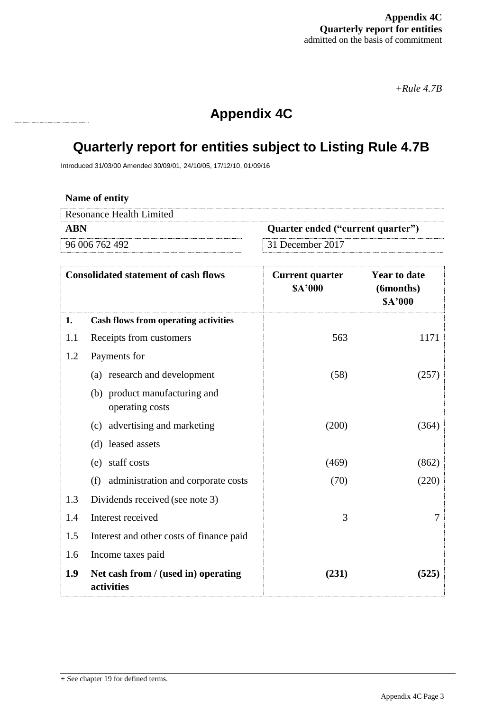*+Rule 4.7B*

## **Appendix 4C**

# **Quarterly report for entities subject to Listing Rule 4.7B**

Introduced 31/03/00 Amended 30/09/01, 24/10/05, 17/12/10, 01/09/16

| Name of entity           |                                   |
|--------------------------|-----------------------------------|
| Resonance Health Limited |                                   |
| A RN                     | Quarter ended ("current quarter") |
| 96 006 762 492           | $\vert$ 31 December 2017          |

|     | <b>Consolidated statement of cash flows</b>       | <b>Current quarter</b><br>\$A'000 | <b>Year to date</b><br>(6months)<br>\$A'000 |
|-----|---------------------------------------------------|-----------------------------------|---------------------------------------------|
| 1.  | <b>Cash flows from operating activities</b>       |                                   |                                             |
| 1.1 | Receipts from customers                           | 563                               | 1171                                        |
| 1.2 | Payments for                                      |                                   |                                             |
|     | (a) research and development                      | (58)                              | (257)                                       |
|     | (b) product manufacturing and<br>operating costs  |                                   |                                             |
|     | (c) advertising and marketing                     | (200)                             | (364)                                       |
|     | (d) leased assets                                 |                                   |                                             |
|     | (e) staff costs                                   | (469)                             | (862)                                       |
|     | (f) administration and corporate costs            | (70)                              | (220)                                       |
| 1.3 | Dividends received (see note 3)                   |                                   |                                             |
| 1.4 | Interest received                                 | 3                                 | 7                                           |
| 1.5 | Interest and other costs of finance paid          |                                   |                                             |
| 1.6 | Income taxes paid                                 |                                   |                                             |
| 1.9 | Net cash from / (used in) operating<br>activities | (231)                             | (525)                                       |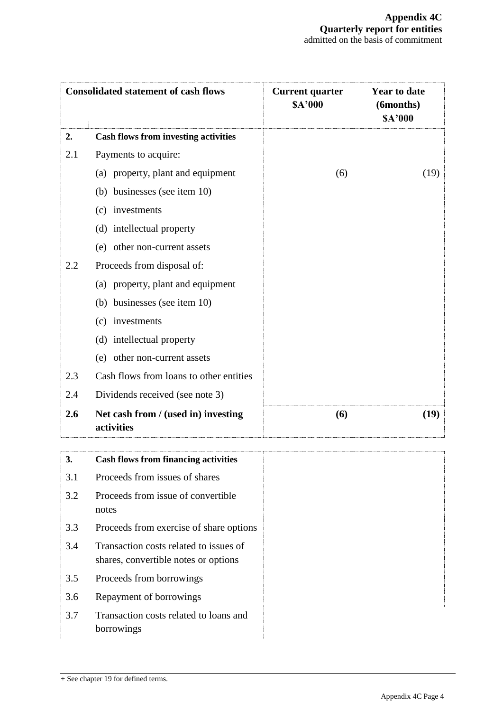| <b>Consolidated statement of cash flows</b> |                                                   | <b>Current quarter</b><br><b>SA'000</b> | <b>Year to date</b><br>(6months)<br><b>SA'000</b> |
|---------------------------------------------|---------------------------------------------------|-----------------------------------------|---------------------------------------------------|
| 2.                                          | <b>Cash flows from investing activities</b>       |                                         |                                                   |
| 2.1                                         | Payments to acquire:                              |                                         |                                                   |
|                                             | (a) property, plant and equipment                 | (6)                                     | (19)                                              |
|                                             | (b) businesses (see item 10)                      |                                         |                                                   |
|                                             | (c) investments                                   |                                         |                                                   |
|                                             | (d) intellectual property                         |                                         |                                                   |
|                                             | (e) other non-current assets                      |                                         |                                                   |
| 2.2                                         | Proceeds from disposal of:                        |                                         |                                                   |
|                                             | (a) property, plant and equipment                 |                                         |                                                   |
|                                             | (b) businesses (see item 10)                      |                                         |                                                   |
|                                             | (c) investments                                   |                                         |                                                   |
|                                             | (d) intellectual property                         |                                         |                                                   |
|                                             | (e) other non-current assets                      |                                         |                                                   |
| 2.3                                         | Cash flows from loans to other entities           |                                         |                                                   |
| 2.4                                         | Dividends received (see note 3)                   |                                         |                                                   |
| 2.6                                         | Net cash from / (used in) investing<br>activities | (6)                                     | (19)                                              |

| 3.  | <b>Cash flows from financing activities</b>                                    |
|-----|--------------------------------------------------------------------------------|
| 3.1 | Proceeds from issues of shares                                                 |
| 3.2 | Proceeds from issue of convertible<br>notes                                    |
| 3.3 | Proceeds from exercise of share options                                        |
| 3.4 | Transaction costs related to issues of<br>shares, convertible notes or options |
| 3.5 | Proceeds from borrowings                                                       |
| 3.6 | Repayment of borrowings                                                        |
| 3.7 | Transaction costs related to loans and<br>borrowings                           |

+ See chapter 19 for defined terms.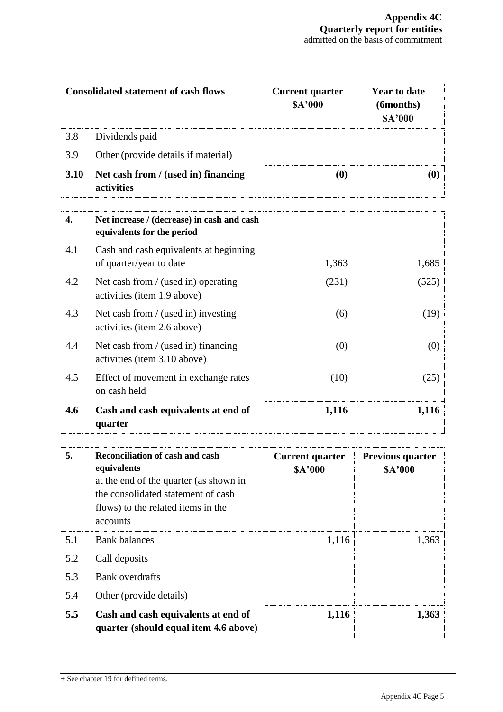|                  | <b>Consolidated statement of cash flows</b>                              | <b>Current quarter</b><br>\$A'000 | <b>Year to date</b><br>(6months)<br>\$A'000 |
|------------------|--------------------------------------------------------------------------|-----------------------------------|---------------------------------------------|
| 3.8              | Dividends paid                                                           |                                   |                                             |
| 3.9              | Other (provide details if material)                                      |                                   |                                             |
| 3.10             | Net cash from / (used in) financing<br>activities                        | (0)                               | (0)                                         |
| $\overline{4}$ . | Net increase / (decrease) in cash and cash<br>equivalents for the period |                                   |                                             |
| 4.1              | Cash and cash equivalents at beginning<br>of quarter/year to date        | 1,363                             | 1,685                                       |
| 4.2              | Net cash from / (used in) operating<br>activities (item 1.9 above)       | (231)                             | (525)                                       |
| 4.3              | Net cash from / (used in) investing<br>activities (item 2.6 above)       | (6)                               | (19)                                        |
| 4.4              | Net cash from / (used in) financing<br>activities (item 3.10 above)      | (0)                               | (0)                                         |
| 4.5              | Effect of movement in exchange rates<br>on cash held                     | (10)                              | (25)                                        |
| 4.6              | Cash and cash equivalents at end of<br>quarter                           | 1,116                             | 1,116                                       |

| 5.  | <b>Reconciliation of cash and cash</b><br>equivalents<br>at the end of the quarter (as shown in<br>the consolidated statement of cash<br>flows) to the related items in the<br>accounts | <b>Current quarter</b><br><b>\$A'000</b> | <b>Previous quarter</b><br><b>\$A'000</b> |
|-----|-----------------------------------------------------------------------------------------------------------------------------------------------------------------------------------------|------------------------------------------|-------------------------------------------|
| 5.1 | <b>Bank balances</b>                                                                                                                                                                    | 1,116                                    | 1,363                                     |
| 5.2 | Call deposits                                                                                                                                                                           |                                          |                                           |
| 5.3 | Bank overdrafts                                                                                                                                                                         |                                          |                                           |
| 5.4 | Other (provide details)                                                                                                                                                                 |                                          |                                           |
| 5.5 | Cash and cash equivalents at end of<br>quarter (should equal item 4.6 above)                                                                                                            | 1,116                                    | 1,363                                     |

<sup>+</sup> See chapter 19 for defined terms.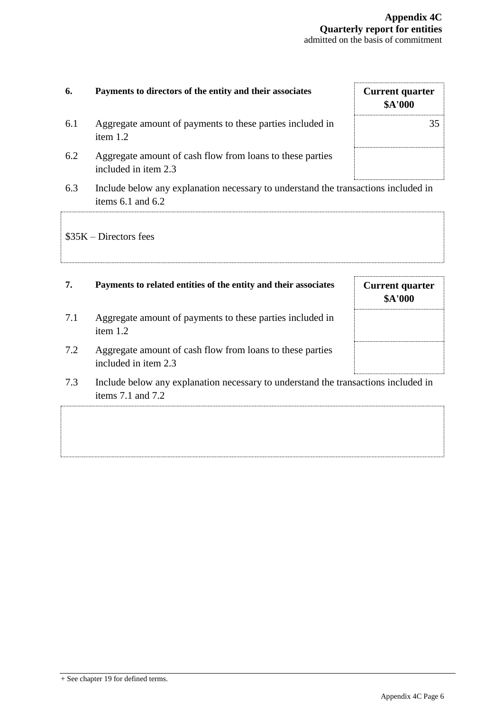| 6.  | Payments to directors of the entity and their associates                                                    | <b>Current quarter</b><br>\$A'000        |
|-----|-------------------------------------------------------------------------------------------------------------|------------------------------------------|
| 6.1 | Aggregate amount of payments to these parties included in<br>item 1.2                                       | 35                                       |
| 6.2 | Aggregate amount of cash flow from loans to these parties<br>included in item 2.3                           |                                          |
| 6.3 | Include below any explanation necessary to understand the transactions included in<br>items $6.1$ and $6.2$ |                                          |
|     | $$35K - Directors$ fees                                                                                     |                                          |
| 7.  | Payments to related entities of the entity and their associates                                             | <b>Current quarter</b><br><b>\$A'000</b> |
| 7.1 | Aggregate amount of payments to these parties included in<br>item 1.2                                       |                                          |
| 7.2 | Aggregate amount of cash flow from loans to these parties<br>included in item 2.3                           |                                          |
| 7.3 | Include below any explanation necessary to understand the transactions included in<br>items 7.1 and 7.2     |                                          |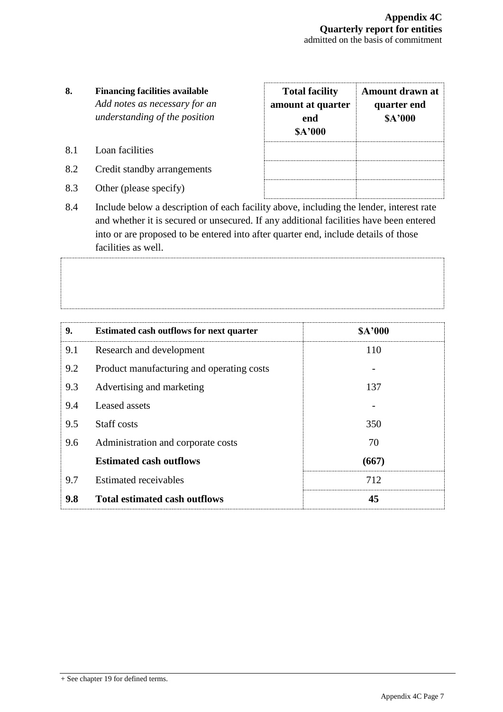- **8. Financing facilities available** *Add notes as necessary for an understanding of the position*
- 8.1 Loan facilities
- 8.2 Credit standby arrangements
- 8.3 Other (please specify)

| <b>Total facility</b><br>amount at quarter<br>end<br><b>SA'000</b> | <b>Amount drawn at</b><br>quarter end<br><b>SA'000</b> |
|--------------------------------------------------------------------|--------------------------------------------------------|
|                                                                    |                                                        |
|                                                                    |                                                        |

8.4 Include below a description of each facility above, including the lender, interest rate and whether it is secured or unsecured. If any additional facilities have been entered into or are proposed to be entered into after quarter end, include details of those facilities as well.

| 9.  | <b>Estimated cash outflows for next quarter</b> | <b>SA'000</b> |
|-----|-------------------------------------------------|---------------|
| 9.1 | Research and development                        | 110           |
| 9.2 | Product manufacturing and operating costs       |               |
| 9.3 | Advertising and marketing                       | 137           |
| 9.4 | Leased assets                                   |               |
| 9.5 | Staff costs                                     | 350           |
| 9.6 | Administration and corporate costs              | 70            |
|     | <b>Estimated cash outflows</b>                  | (667)         |
| 9.7 | <b>Estimated receivables</b>                    | 712           |
| 9.8 | <b>Total estimated cash outflows</b>            | 45            |